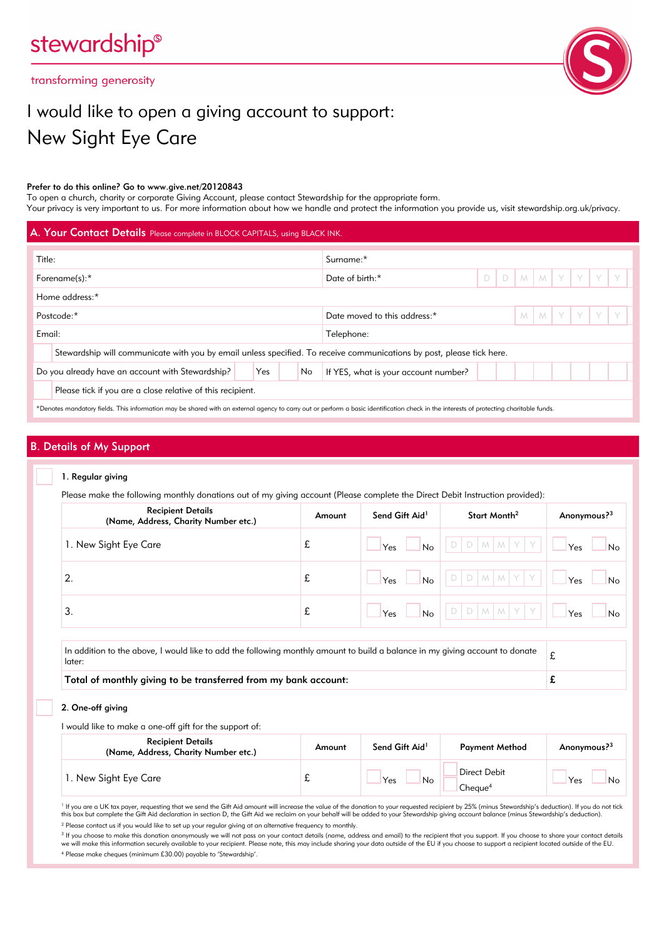transforming generosity



# I would like to open a giving account to support: New Sight Eye Care

#### Prefer to do this online? Go to www.give.net/20120843

To open a church, charity or corporate Giving Account, please contact Stewardship for the appropriate form. Your privacy is very important to us. For more information about how we handle and protect the information you provide us, visit stewardship.org.uk/privacy.

|                                                                                                                                                                                         | A. Your Contact Details Please complete in BLOCK CAPITALS, using BLACK INK. |  |  |                 |                              |  |  |  |  |               |  |  |  |  |
|-----------------------------------------------------------------------------------------------------------------------------------------------------------------------------------------|-----------------------------------------------------------------------------|--|--|-----------------|------------------------------|--|--|--|--|---------------|--|--|--|--|
| Title:                                                                                                                                                                                  |                                                                             |  |  |                 | Surname:*                    |  |  |  |  |               |  |  |  |  |
| Forename(s):*                                                                                                                                                                           |                                                                             |  |  | Date of birth:* | $\Box$                       |  |  |  |  | D M M Y Y Y Y |  |  |  |  |
| Home address:*                                                                                                                                                                          |                                                                             |  |  |                 |                              |  |  |  |  |               |  |  |  |  |
| Postcode:*                                                                                                                                                                              |                                                                             |  |  |                 | Date moved to this address:* |  |  |  |  | M M Y Y Y Y   |  |  |  |  |
| Email:<br>Telephone:                                                                                                                                                                    |                                                                             |  |  |                 |                              |  |  |  |  |               |  |  |  |  |
| Stewardship will communicate with you by email unless specified. To receive communications by post, please tick here.                                                                   |                                                                             |  |  |                 |                              |  |  |  |  |               |  |  |  |  |
| Yes<br>Do you already have an account with Stewardship?<br>No<br>If YES, what is your account number?                                                                                   |                                                                             |  |  |                 |                              |  |  |  |  |               |  |  |  |  |
|                                                                                                                                                                                         | Please tick if you are a close relative of this recipient.                  |  |  |                 |                              |  |  |  |  |               |  |  |  |  |
| *Denotes mandatory fields. This information may be shared with an external agency to carry out or perform a basic identification check in the interests of protecting charitable funds. |                                                                             |  |  |                 |                              |  |  |  |  |               |  |  |  |  |

## B. Details of My Support

#### 1. Regular giving

Please make the following monthly donations out of my giving account (Please complete the Direct Debit Instruction provided):

| <b>Recipient Details</b><br>(Name, Address, Charity Number etc.) | Amount | Send Gift Aid <sup>1</sup> | Start Month <sup>2</sup> | Anonymous? <sup>3</sup> |
|------------------------------------------------------------------|--------|----------------------------|--------------------------|-------------------------|
| 1. New Sight Eye Care                                            | £      | No<br>Yes                  |                          | Yes<br>No               |
| 2.                                                               | £      | No<br>Yes                  |                          | Yes<br>No               |
| 3.                                                               | £      | No<br>Yes                  | M M                      | Yes<br>No               |
|                                                                  |        |                            |                          |                         |

In addition to the above, I would like to add the following monthly amount to build a balance in my giving account to donate  $\begin{array}{|l|} \hbox{\large\it E}\end{array}$ 

Total of monthly giving to be transferred from my bank account:  $\mathbf{f}$ 

2. One-off giving

I would like to make a one-off gift for the support of:

| <b>Recipient Details</b><br>(Name, Address, Charity Number etc.) | Amount | Send Gift Aid <sup>1</sup> | <b>Payment Method</b>               | Anonymous? <sup>3</sup> |
|------------------------------------------------------------------|--------|----------------------------|-------------------------------------|-------------------------|
| 1. New Sight Eye Care                                            | v      | Yes<br>No                  | Direct Debit<br>Cheque <sup>4</sup> | Yes<br>No               |

<sup>1</sup> If you are a UK tax payer, requesting that we send the Gift Aid amount will increase the value of the donation to your requested recipient by 25% (minus Stewardship's deduction). If you do not tick this box but complete the Gift Aid declaration in section D, the Gift Aid we reclaim on your behalf will be added to your Stewardship giving account balance (minus Stewardship's deduction).

<sup>2</sup> Please contact us if you would like to set up your regular giving at an alternative frequency to monthly.

<sup>3</sup> If you choose to make this donation anonymously we will not pass on your contact details (name, address and email) to the recipient that you support. If you choose to share your contact details<br>we will make this inform

4 Please make cheques (minimum £30.00) payable to 'Stewardship'.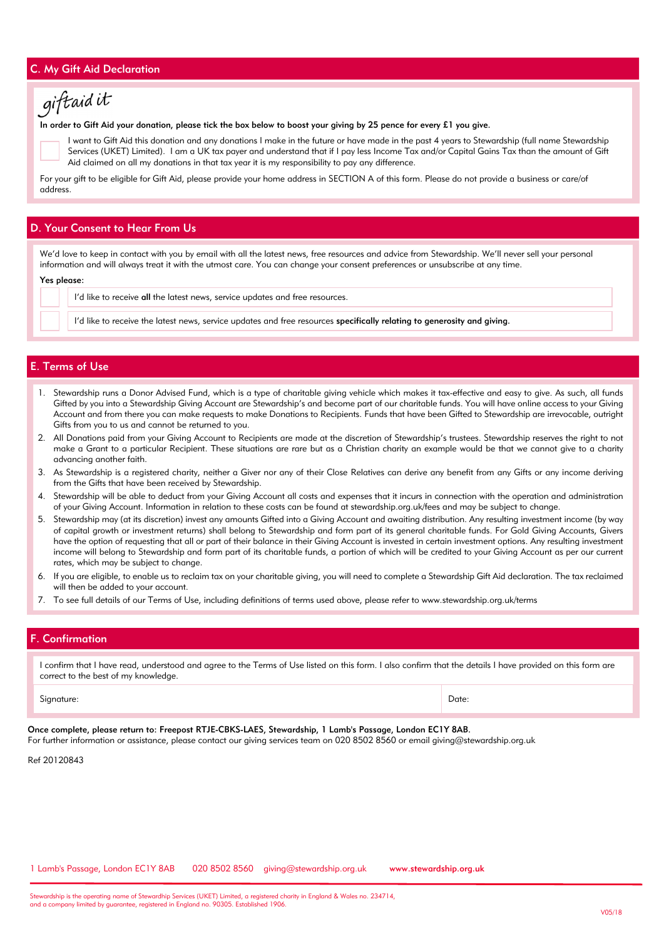## C. My Gift Aid Declaration



#### In order to Gift Aid your donation, please tick the box below to boost your giving by 25 pence for every £1 you give.

I want to Gift Aid this donation and any donations I make in the future or have made in the past 4 years to Stewardship (full name Stewardship Services (UKET) Limited). I am a UK tax payer and understand that if I pay less Income Tax and/or Capital Gains Tax than the amount of Gift Aid claimed on all my donations in that tax year it is my responsibility to pay any difference.

For your gift to be eligible for Gift Aid, please provide your home address in SECTION A of this form. Please do not provide a business or care/of address.

## D. Your Consent to Hear From Us

We'd love to keep in contact with you by email with all the latest news, free resources and advice from Stewardship. We'll never sell your personal information and will always treat it with the utmost care. You can change your consent preferences or unsubscribe at any time.

#### Yes please:

I'd like to receive all the latest news, service updates and free resources.

I'd like to receive the latest news, service updates and free resources specifically relating to generosity and giving.

## E. Terms of Use

- 1. Stewardship runs a Donor Advised Fund, which is a type of charitable giving vehicle which makes it tax-effective and easy to give. As such, all funds Gifted by you into a Stewardship Giving Account are Stewardship's and become part of our charitable funds. You will have online access to your Giving Account and from there you can make requests to make Donations to Recipients. Funds that have been Gifted to Stewardship are irrevocable, outright Gifts from you to us and cannot be returned to you.
- 2. All Donations paid from your Giving Account to Recipients are made at the discretion of Stewardship's trustees. Stewardship reserves the right to not make a Grant to a particular Recipient. These situations are rare but as a Christian charity an example would be that we cannot give to a charity advancing another faith.
- 3. As Stewardship is a registered charity, neither a Giver nor any of their Close Relatives can derive any benefit from any Gifts or any income deriving from the Gifts that have been received by Stewardship.
- 4. Stewardship will be able to deduct from your Giving Account all costs and expenses that it incurs in connection with the operation and administration of your Giving Account. Information in relation to these costs can be found at stewardship.org.uk/fees and may be subject to change.
- 5. Stewardship may (at its discretion) invest any amounts Gifted into a Giving Account and awaiting distribution. Any resulting investment income (by way of capital growth or investment returns) shall belong to Stewardship and form part of its general charitable funds. For Gold Giving Accounts, Givers have the option of requesting that all or part of their balance in their Giving Account is invested in certain investment options. Any resulting investment income will belong to Stewardship and form part of its charitable funds, a portion of which will be credited to your Giving Account as per our current rates, which may be subject to change.
- 6. If you are eligible, to enable us to reclaim tax on your charitable giving, you will need to complete a Stewardship Gift Aid declaration. The tax reclaimed will then be added to your account.
- 7. To see full details of our Terms of Use, including definitions of terms used above, please refer to www.stewardship.org.uk/terms

## F. Confirmation

I confirm that I have read, understood and agree to the Terms of Use listed on this form. I also confirm that the details I have provided on this form are correct to the best of my knowledge.

Signature: Date:

Once complete, please return to: Freepost RTJE-CBKS-LAES, Stewardship, 1 Lamb's Passage, London EC1Y 8AB. For further information or assistance, please contact our giving services team on 020 8502 8560 or email giving@stewardship.org.uk

Ref 20120843